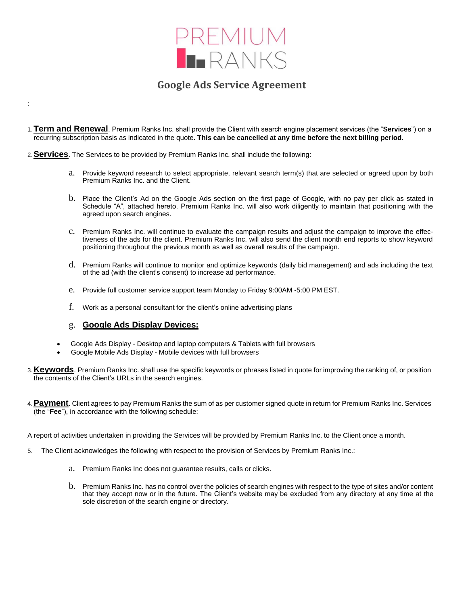

## **Google Ads Service Agreement**

- 1.**Term and Renewal**. Premium Ranks Inc. shall provide the Client with search engine placement services (the "**Services**") on a recurring subscription basis as indicated in the quote**. This can be cancelled at any time before the next billing period.**
- 2.**Services**. The Services to be provided by Premium Ranks Inc. shall include the following:
	- a. Provide keyword research to select appropriate, relevant search term(s) that are selected or agreed upon by both Premium Ranks Inc. and the Client.
	- b. Place the Client's Ad on the Google Ads section on the first page of Google, with no pay per click as stated in Schedule "A", attached hereto. Premium Ranks Inc. will also work diligently to maintain that positioning with the agreed upon search engines.
	- c. Premium Ranks Inc. will continue to evaluate the campaign results and adjust the campaign to improve the effectiveness of the ads for the client. Premium Ranks Inc. will also send the client month end reports to show keyword positioning throughout the previous month as well as overall results of the campaign.
	- d. Premium Ranks will continue to monitor and optimize keywords (daily bid management) and ads including the text of the ad (with the client's consent) to increase ad performance.
	- e. Provide full customer service support team Monday to Friday 9:00AM -5:00 PM EST.
	- f. Work as a personal consultant for the client's online advertising plans

## g. **Google Ads Display Devices:**

:

- Google Ads Display Desktop and laptop computers & Tablets with full browsers
- Google Mobile Ads Display Mobile devices with full browsers
- 3.**Keywords**. Premium Ranks Inc. shall use the specific keywords or phrases listed in quote for improving the ranking of, or position the contents of the Client's URLs in the search engines.
- 4.**Payment**. Client agrees to pay Premium Ranks the sum of as per customer signed quote in return for Premium Ranks Inc. Services (the "**Fee**"), in accordance with the following schedule:

A report of activities undertaken in providing the Services will be provided by Premium Ranks Inc. to the Client once a month.

- 5. The Client acknowledges the following with respect to the provision of Services by Premium Ranks Inc.:
	- a. Premium Ranks Inc does not guarantee results, calls or clicks.
	- b. Premium Ranks Inc. has no control over the policies of search engines with respect to the type of sites and/or content that they accept now or in the future. The Client's website may be excluded from any directory at any time at the sole discretion of the search engine or directory.